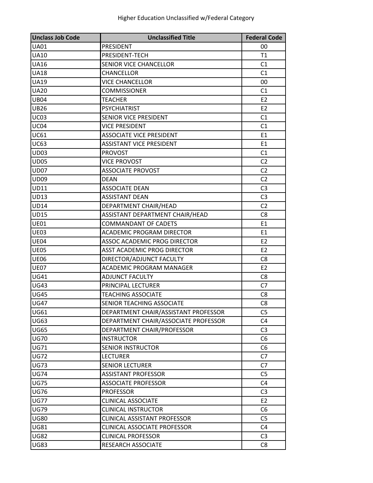| <b>Unclass Job Code</b> | <b>Unclassified Title</b>            | <b>Federal Code</b> |
|-------------------------|--------------------------------------|---------------------|
| <b>UA01</b>             | PRESIDENT                            | 00                  |
| <b>UA10</b>             | PRESIDENT-TECH                       | T1                  |
| <b>UA16</b>             | <b>SENIOR VICE CHANCELLOR</b>        | C <sub>1</sub>      |
| <b>UA18</b>             | CHANCELLOR                           | C <sub>1</sub>      |
| <b>UA19</b>             | <b>VICE CHANCELLOR</b>               | 00                  |
| <b>UA20</b>             | <b>COMMISSIONER</b>                  | C1                  |
| <b>UB04</b>             | <b>TEACHER</b>                       | E <sub>2</sub>      |
| <b>UB26</b>             | <b>PSYCHIATRIST</b>                  | E <sub>2</sub>      |
| <b>UC03</b>             | SENIOR VICE PRESIDENT                | C1                  |
| UC04                    | <b>VICE PRESIDENT</b>                | C1                  |
| UC61                    | <b>ASSOCIATE VICE PRESIDENT</b>      | E1                  |
| UC63                    | <b>ASSISTANT VICE PRESIDENT</b>      | E <sub>1</sub>      |
| <b>UD03</b>             | <b>PROVOST</b>                       | C <sub>1</sub>      |
| <b>UD05</b>             | <b>VICE PROVOST</b>                  | C <sub>2</sub>      |
| <b>UD07</b>             | <b>ASSOCIATE PROVOST</b>             | C <sub>2</sub>      |
| <b>UD09</b>             | <b>DEAN</b>                          | C <sub>2</sub>      |
| <b>UD11</b>             | <b>ASSOCIATE DEAN</b>                | C <sub>3</sub>      |
| <b>UD13</b>             | <b>ASSISTANT DEAN</b>                | C <sub>3</sub>      |
| UD14                    | DEPARTMENT CHAIR/HEAD                | C <sub>2</sub>      |
| <b>UD15</b>             | ASSISTANT DEPARTMENT CHAIR/HEAD      | C <sub>8</sub>      |
| <b>UE01</b>             | <b>COMMANDANT OF CADETS</b>          | E1                  |
| <b>UE03</b>             | <b>ACADEMIC PROGRAM DIRECTOR</b>     | E <sub>1</sub>      |
| <b>UE04</b>             | ASSOC ACADEMIC PROG DIRECTOR         | E <sub>2</sub>      |
| <b>UE05</b>             | ASST ACADEMIC PROG DIRECTOR          | E <sub>2</sub>      |
| <b>UE06</b>             | DIRECTOR/ADJUNCT FACULTY             | C <sub>8</sub>      |
| <b>UE07</b>             | ACADEMIC PROGRAM MANAGER             | E <sub>2</sub>      |
| <b>UG41</b>             | <b>ADJUNCT FACULTY</b>               | C <sub>8</sub>      |
| <b>UG43</b>             | PRINCIPAL LECTURER                   | C7                  |
| <b>UG45</b>             | <b>TEACHING ASSOCIATE</b>            | C <sub>8</sub>      |
| <b>UG47</b>             | SENIOR TEACHING ASSOCIATE            | C <sub>8</sub>      |
| <b>UG61</b>             | DEPARTMENT CHAIR/ASSISTANT PROFESSOR | C <sub>5</sub>      |
| UG63                    | DEPARTMENT CHAIR/ASSOCIATE PROFESSOR | C <sub>4</sub>      |
| <b>UG65</b>             | DEPARTMENT CHAIR/PROFESSOR           | C <sub>3</sub>      |
| <b>UG70</b>             | <b>INSTRUCTOR</b>                    | C <sub>6</sub>      |
| <b>UG71</b>             | <b>SENIOR INSTRUCTOR</b>             | C <sub>6</sub>      |
| <b>UG72</b>             | <b>LECTURER</b>                      | C <sub>7</sub>      |
| <b>UG73</b>             | <b>SENIOR LECTURER</b>               | C7                  |
| <b>UG74</b>             | <b>ASSISTANT PROFESSOR</b>           | C <sub>5</sub>      |
| <b>UG75</b>             | <b>ASSOCIATE PROFESSOR</b>           | C <sub>4</sub>      |
| <b>UG76</b>             | <b>PROFESSOR</b>                     | C <sub>3</sub>      |
| <b>UG77</b>             | <b>CLINICAL ASSOCIATE</b>            | E <sub>2</sub>      |
| <b>UG79</b>             | CLINICAL INSTRUCTOR                  | C <sub>6</sub>      |
| <b>UG80</b>             | <b>CLINICAL ASSISTANT PROFESSOR</b>  | C <sub>5</sub>      |
| <b>UG81</b>             | <b>CLINICAL ASSOCIATE PROFESSOR</b>  | C <sub>4</sub>      |
| <b>UG82</b>             | <b>CLINICAL PROFESSOR</b>            | C <sub>3</sub>      |
| <b>UG83</b>             | RESEARCH ASSOCIATE                   | C <sub>8</sub>      |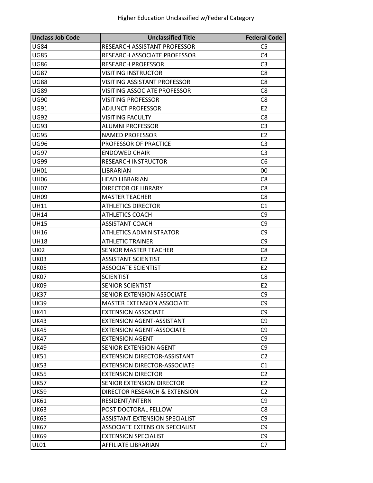| <b>Unclass Job Code</b> | <b>Unclassified Title</b>             | <b>Federal Code</b> |
|-------------------------|---------------------------------------|---------------------|
| <b>UG84</b>             | RESEARCH ASSISTANT PROFESSOR          | C <sub>5</sub>      |
| <b>UG85</b>             | RESEARCH ASSOCIATE PROFESSOR          | C <sub>4</sub>      |
| <b>UG86</b>             | <b>RESEARCH PROFESSOR</b>             | C <sub>3</sub>      |
| UG87                    | VISITING INSTRUCTOR                   | C <sub>8</sub>      |
| <b>UG88</b>             | <b>VISITING ASSISTANT PROFESSOR</b>   | C <sub>8</sub>      |
| <b>UG89</b>             | VISITING ASSOCIATE PROFESSOR          | C <sub>8</sub>      |
| <b>UG90</b>             | VISITING PROFESSOR                    | C8                  |
| <b>UG91</b>             | <b>ADJUNCT PROFESSOR</b>              | E2                  |
| <b>UG92</b>             | VISITING FACULTY                      | C <sub>8</sub>      |
| <b>UG93</b>             | <b>ALUMNI PROFESSOR</b>               | C <sub>3</sub>      |
| <b>UG95</b>             | NAMED PROFESSOR                       | E <sub>2</sub>      |
| <b>UG96</b>             | PROFESSOR OF PRACTICE                 | C <sub>3</sub>      |
| <b>UG97</b>             | <b>ENDOWED CHAIR</b>                  | C <sub>3</sub>      |
| <b>UG99</b>             | <b>RESEARCH INSTRUCTOR</b>            | C <sub>6</sub>      |
| <b>UH01</b>             | <b>LIBRARIAN</b>                      | 00                  |
| <b>UH06</b>             | <b>HEAD LIBRARIAN</b>                 | C <sub>8</sub>      |
| <b>UH07</b>             | DIRECTOR OF LIBRARY                   | C <sub>8</sub>      |
| <b>UH09</b>             | <b>MASTER TEACHER</b>                 | C8                  |
| <b>UH11</b>             | <b>ATHLETICS DIRECTOR</b>             | C1                  |
| <b>UH14</b>             | <b>ATHLETICS COACH</b>                | C <sub>9</sub>      |
| UH15                    | <b>ASSISTANT COACH</b>                | C <sub>9</sub>      |
| <b>UH16</b>             | <b>ATHLETICS ADMINISTRATOR</b>        | C <sub>9</sub>      |
| <b>UH18</b>             | ATHLETIC TRAINER                      | C <sub>9</sub>      |
| UI02                    | SENIOR MASTER TEACHER                 | C <sub>8</sub>      |
| <b>UK03</b>             | <b>ASSISTANT SCIENTIST</b>            | E <sub>2</sub>      |
| UK05                    | <b>ASSOCIATE SCIENTIST</b>            | E <sub>2</sub>      |
| <b>UK07</b>             | <b>SCIENTIST</b>                      | C <sub>8</sub>      |
| <b>UK09</b>             | <b>SENIOR SCIENTIST</b>               | E <sub>2</sub>      |
| <b>UK37</b>             | SENIOR EXTENSION ASSOCIATE            | C9                  |
| UK39                    | <b>MASTER EXTENSION ASSOCIATE</b>     | C <sub>9</sub>      |
| <b>UK41</b>             | <b>EXTENSION ASSOCIATE</b>            | C <sub>9</sub>      |
| <b>UK43</b>             | <b>EXTENSION AGENT-ASSISTANT</b>      | C <sub>9</sub>      |
| <b>UK45</b>             | <b>EXTENSION AGENT-ASSOCIATE</b>      | C <sub>9</sub>      |
| <b>UK47</b>             | <b>EXTENSION AGENT</b>                | C <sub>9</sub>      |
| UK49                    | SENIOR EXTENSION AGENT                | C <sub>9</sub>      |
| <b>UK51</b>             | EXTENSION DIRECTOR-ASSISTANT          | C <sub>2</sub>      |
| <b>UK53</b>             | <b>EXTENSION DIRECTOR-ASSOCIATE</b>   | C1                  |
| <b>UK55</b>             | <b>EXTENSION DIRECTOR</b>             | C <sub>2</sub>      |
| <b>UK57</b>             | SENIOR EXTENSION DIRECTOR             | E <sub>2</sub>      |
| <b>UK59</b>             | DIRECTOR RESEARCH & EXTENSION         | C <sub>2</sub>      |
| <b>UK61</b>             | RESIDENT/INTERN                       | C <sub>9</sub>      |
| UK63                    | POST DOCTORAL FELLOW                  | C <sub>8</sub>      |
| <b>UK65</b>             | <b>ASSISTANT EXTENSION SPECIALIST</b> | C9                  |
| <b>UK67</b>             | ASSOCIATE EXTENSION SPECIALIST        | C <sub>9</sub>      |
| <b>UK69</b>             | <b>EXTENSION SPECIALIST</b>           | C9                  |
| <b>UL01</b>             | AFFILIATE LIBRARIAN                   | C7                  |